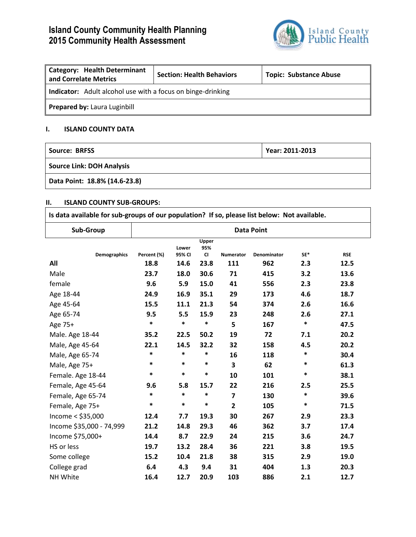# **Island County Community Health Planning 2015 Community Health Assessment**



| <b>Category: Health Determinant</b><br>and Correlate Metrics       | <b>Section: Health Behaviors</b> | <b>Topic: Substance Abuse</b> |  |  |  |  |
|--------------------------------------------------------------------|----------------------------------|-------------------------------|--|--|--|--|
| <b>Indicator:</b> Adult alcohol use with a focus on binge-drinking |                                  |                               |  |  |  |  |
| Prepared by: Laura Luginbill                                       |                                  |                               |  |  |  |  |

### **I. ISLAND COUNTY DATA**

| Source: BRFSS                    | Year: 2011-2013 |  |  |  |  |
|----------------------------------|-----------------|--|--|--|--|
| <b>Source Link: DOH Analysis</b> |                 |  |  |  |  |
| Data Point: 18.8% (14.6-23.8)    |                 |  |  |  |  |

#### **II. ISLAND COUNTY SUB-GROUPS:**

| Is data available for sub-groups of our population? If so, please list below: Not available. |                   |                 |                           |                         |                    |        |            |
|----------------------------------------------------------------------------------------------|-------------------|-----------------|---------------------------|-------------------------|--------------------|--------|------------|
| Sub-Group                                                                                    | <b>Data Point</b> |                 |                           |                         |                    |        |            |
| <b>Demographics</b>                                                                          | Percent (%)       | Lower<br>95% CI | Upper<br>95%<br><b>CI</b> | <b>Numerator</b>        | <b>Denominator</b> | $SE*$  | <b>RSE</b> |
| All                                                                                          | 18.8              | 14.6            | 23.8                      | 111                     | 962                | 2.3    | 12.5       |
| Male                                                                                         | 23.7              | 18.0            | 30.6                      | 71                      | 415                | 3.2    | 13.6       |
| female                                                                                       | 9.6               | 5.9             | 15.0                      | 41                      | 556                | 2.3    | 23.8       |
| Age 18-44                                                                                    | 24.9              | 16.9            | 35.1                      | 29                      | 173                | 4.6    | 18.7       |
| Age 45-64                                                                                    | 15.5              | 11.1            | 21.3                      | 54                      | 374                | 2.6    | 16.6       |
| Age 65-74                                                                                    | 9.5               | 5.5             | 15.9                      | 23                      | 248                | 2.6    | 27.1       |
| Age 75+                                                                                      | *                 | *               | *                         | 5                       | 167                | *      | 47.5       |
| Male. Age 18-44                                                                              | 35.2              | 22.5            | 50.2                      | 19                      | 72                 | 7.1    | 20.2       |
| Male, Age 45-64                                                                              | 22.1              | 14.5            | 32.2                      | 32                      | 158                | 4.5    | 20.2       |
| Male, Age 65-74                                                                              | *                 | $\ast$          | $\ast$                    | 16                      | 118                | $\ast$ | 30.4       |
| Male, Age 75+                                                                                | $\ast$            | $\ast$          | $\ast$                    | $\overline{\mathbf{3}}$ | 62                 | $\ast$ | 61.3       |
| Female. Age 18-44                                                                            | *                 | *               | *                         | 10                      | 101                | $\ast$ | 38.1       |
| Female, Age 45-64                                                                            | 9.6               | 5.8             | 15.7                      | 22                      | 216                | 2.5    | 25.5       |
| Female, Age 65-74                                                                            | *                 | *               | *                         | $\overline{7}$          | 130                | *      | 39.6       |
| Female, Age 75+                                                                              | $\ast$            | $\ast$          | *                         | $\overline{2}$          | 105                | $\ast$ | 71.5       |
| Income $<$ \$35,000                                                                          | 12.4              | 7.7             | 19.3                      | 30                      | 267                | 2.9    | 23.3       |
| Income \$35,000 - 74,999                                                                     | 21.2              | 14.8            | 29.3                      | 46                      | 362                | 3.7    | 17.4       |
| Income \$75,000+                                                                             | 14.4              | 8.7             | 22.9                      | 24                      | 215                | 3.6    | 24.7       |
| HS or less                                                                                   | 19.7              | 13.2            | 28.4                      | 36                      | 221                | 3.8    | 19.5       |
| Some college                                                                                 | 15.2              | 10.4            | 21.8                      | 38                      | 315                | 2.9    | 19.0       |
| College grad                                                                                 | 6.4               | 4.3             | 9.4                       | 31                      | 404                | 1.3    | 20.3       |
| NH White                                                                                     | 16.4              | 12.7            | 20.9                      | 103                     | 886                | 2.1    | 12.7       |